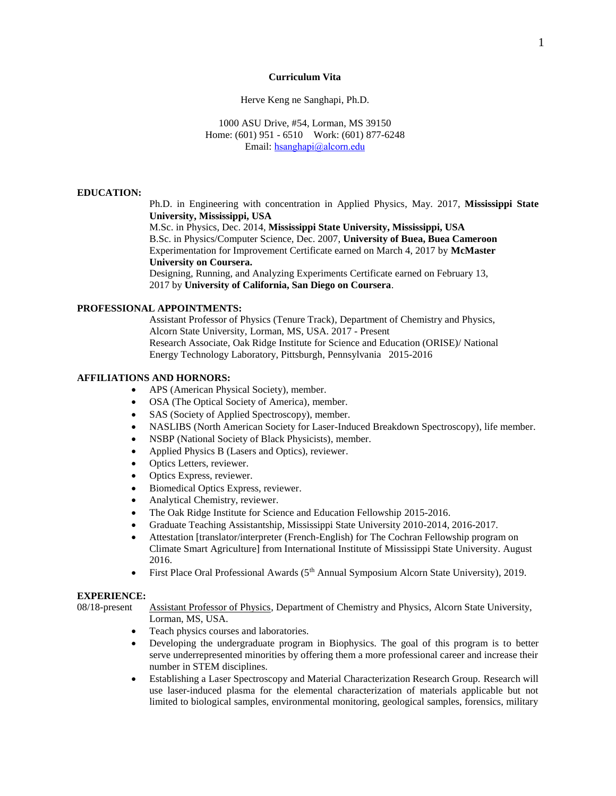#### **Curriculum Vita**

Herve Keng ne Sanghapi, Ph.D.

1000 ASU Drive, #54, Lorman, MS 39150 Home: (601) 951 - 6510 Work: (601) 877-6248 Email: h[sanghapi@alcorn.edu](mailto:herkengs@gmail.com)

#### **EDUCATION:**

Ph.D. in Engineering with concentration in Applied Physics, May. 2017, **Mississippi State University, Mississippi, USA** 

M.Sc. in Physics, Dec. 2014, **Mississippi State University, Mississippi, USA** B.Sc. in Physics/Computer Science, Dec. 2007, **University of Buea, Buea Cameroon** Experimentation for Improvement Certificate earned on March 4, 2017 by **McMaster University on Coursera.** 

Designing, Running, and Analyzing Experiments Certificate earned on February 13, 2017 by **University of California, San Diego on Coursera**.

#### **PROFESSIONAL APPOINTMENTS:**

Assistant Professor of Physics (Tenure Track), Department of Chemistry and Physics, Alcorn State University, Lorman, MS, USA. 2017 - Present Research Associate, Oak Ridge Institute for Science and Education (ORISE)/ National Energy Technology Laboratory, Pittsburgh, Pennsylvania 2015-2016

# **AFFILIATIONS AND HORNORS:**

- APS (American Physical Society), member.
- OSA (The Optical Society of America), member.
- SAS (Society of Applied Spectroscopy), member.
- NASLIBS (North American Society for Laser-Induced Breakdown Spectroscopy), life member.
- NSBP (National Society of Black Physicists), member.
- Applied Physics B (Lasers and Optics), reviewer.
- Optics Letters, reviewer.
- Optics Express, reviewer.
- Biomedical Optics Express, reviewer.
- Analytical Chemistry, reviewer.
- The Oak Ridge Institute for Science and Education Fellowship 2015-2016.
- Graduate Teaching Assistantship, Mississippi State University 2010-2014, 2016-2017.
- Attestation [translator/interpreter (French-English) for The Cochran Fellowship program on Climate Smart Agriculture] from International Institute of Mississippi State University. August 2016.
- First Place Oral Professional Awards (5<sup>th</sup> Annual Symposium Alcorn State University), 2019.

# **EXPERIENCE:**

08/18-present Assistant Professor of Physics, Department of Chemistry and Physics, Alcorn State University,

- Lorman, MS, USA.
- Teach physics courses and laboratories.
- Developing the undergraduate program in Biophysics. The goal of this program is to better serve underrepresented minorities by offering them a more professional career and increase their number in STEM disciplines.
- Establishing a Laser Spectroscopy and Material Characterization Research Group. Research will use laser-induced plasma for the elemental characterization of materials applicable but not limited to biological samples, environmental monitoring, geological samples, forensics, military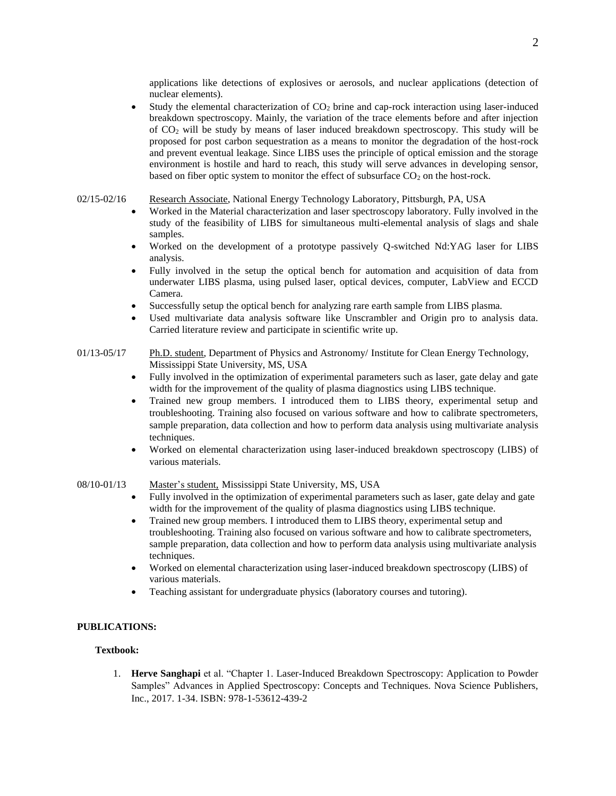applications like detections of explosives or aerosols, and nuclear applications (detection of nuclear elements).

- Study the elemental characterization of CO<sup>2</sup> brine and cap-rock interaction using laser-induced breakdown spectroscopy. Mainly, the variation of the trace elements before and after injection of CO<sup>2</sup> will be study by means of laser induced breakdown spectroscopy. This study will be proposed for post carbon sequestration as a means to monitor the degradation of the host-rock and prevent eventual leakage. Since LIBS uses the principle of optical emission and the storage environment is hostile and hard to reach, this study will serve advances in developing sensor, based on fiber optic system to monitor the effect of subsurface  $CO<sub>2</sub>$  on the host-rock.
- 02/15-02/16 Research Associate, National Energy Technology Laboratory, Pittsburgh, PA, USA
	- Worked in the Material characterization and laser spectroscopy laboratory. Fully involved in the study of the feasibility of LIBS for simultaneous multi-elemental analysis of slags and shale samples.
	- Worked on the development of a prototype passively Q-switched Nd:YAG laser for LIBS analysis.
	- Fully involved in the setup the optical bench for automation and acquisition of data from underwater LIBS plasma, using pulsed laser, optical devices, computer, LabView and ECCD Camera.
	- Successfully setup the optical bench for analyzing rare earth sample from LIBS plasma.
	- Used multivariate data analysis software like Unscrambler and Origin pro to analysis data. Carried literature review and participate in scientific write up.
- 01/13-05/17 Ph.D. student, Department of Physics and Astronomy/ Institute for Clean Energy Technology, Mississippi State University, MS, USA
	- Fully involved in the optimization of experimental parameters such as laser, gate delay and gate width for the improvement of the quality of plasma diagnostics using LIBS technique.
	- Trained new group members. I introduced them to LIBS theory, experimental setup and troubleshooting. Training also focused on various software and how to calibrate spectrometers, sample preparation, data collection and how to perform data analysis using multivariate analysis techniques.
	- Worked on elemental characterization using laser-induced breakdown spectroscopy (LIBS) of various materials.

#### 08/10-01/13 Master's student, Mississippi State University, MS, USA

- Fully involved in the optimization of experimental parameters such as laser, gate delay and gate width for the improvement of the quality of plasma diagnostics using LIBS technique.
- Trained new group members. I introduced them to LIBS theory, experimental setup and troubleshooting. Training also focused on various software and how to calibrate spectrometers, sample preparation, data collection and how to perform data analysis using multivariate analysis techniques.
- Worked on elemental characterization using laser-induced breakdown spectroscopy (LIBS) of various materials.
- Teaching assistant for undergraduate physics (laboratory courses and tutoring).

# **PUBLICATIONS:**

#### **Textbook:**

1. **Herve Sanghapi** et al. "Chapter 1. Laser-Induced Breakdown Spectroscopy: Application to Powder Samples" Advances in Applied Spectroscopy: Concepts and Techniques. Nova Science Publishers, Inc., 2017. 1-34. ISBN: 978-1-53612-439-2